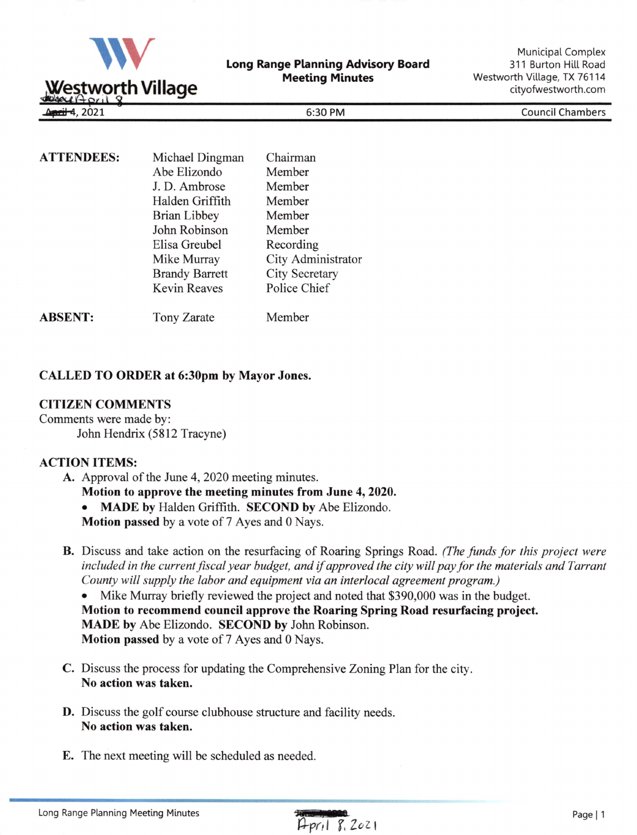

Long Range Planning Advisory Board Meeting Minutes

Municipal Complex 311 Burton Hill Road Westworth Village, TX 76114 cityofwestworth.com

 $\pm 4$ , 2021

6:30 PM

Council Chambers

| <b>ATTENDEES:</b> | Michael Dingman       | Chairman              |
|-------------------|-----------------------|-----------------------|
|                   | Abe Elizondo          | Member                |
|                   | J. D. Ambrose         | Member                |
|                   | Halden Griffith       | Member                |
|                   | <b>Brian Libbey</b>   | Member                |
|                   | John Robinson         | Member                |
|                   | Elisa Greubel         | Recording             |
|                   | Mike Murray           | City Administrator    |
|                   | <b>Brandy Barrett</b> | <b>City Secretary</b> |
|                   | <b>Kevin Reaves</b>   | Police Chief          |
|                   |                       |                       |

ABSENT: Tony Zarate Member

## CALLED TO ORDER at 6:30pm by Mayor Jones.

## CITIZEN COMMENTS

Comments were made by: John Hendrix (5812 Tracyne)

## ACTION ITEMS:

- A. Approval of the June 4, 2020 meeting minutes. Motion to approve the meeting minutes from June 4, 2020.
	- MADE by Halden Griffith. SECOND by Abe Elizondo.
	- Motion passed by a vote of 7 Ayes and 0 Nays.
- B. Discuss and take action on the resurfacing of Roaring Springs Road. (The funds for this project were included in the current fiscal year budget, and if approved the city will pay for the materials and Tarrant County will supply the labor and equipment via an interlocal agreement program.)

Mike Murray briefly reviewed the project and noted that \$390,000 was in the budget. Motion to recommend council approve the Roaring Spring Road resurfacing project. MADE by Abe Elizondo. SECOND by John Robinson. Motion passed by a vote of 7 Ayes and 0 Nays.

- C. Discuss the process for updating the Comprehensive Zoning Plan for the city No action was taken.
- D. Discuss the golf course clubhouse structure and facility needs No action was taken.
- E. The next meeting will be scheduled as needed.